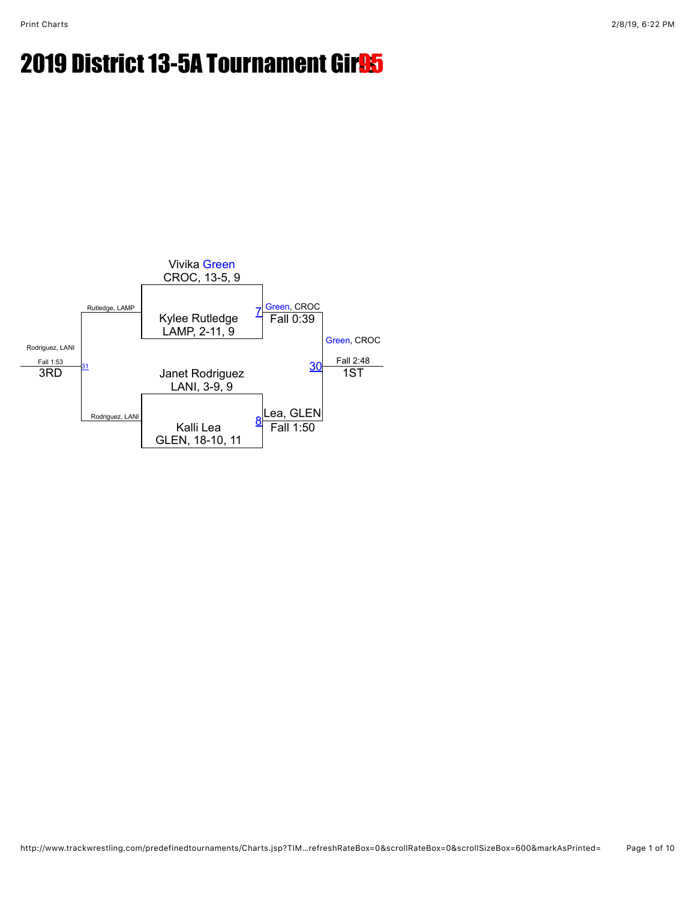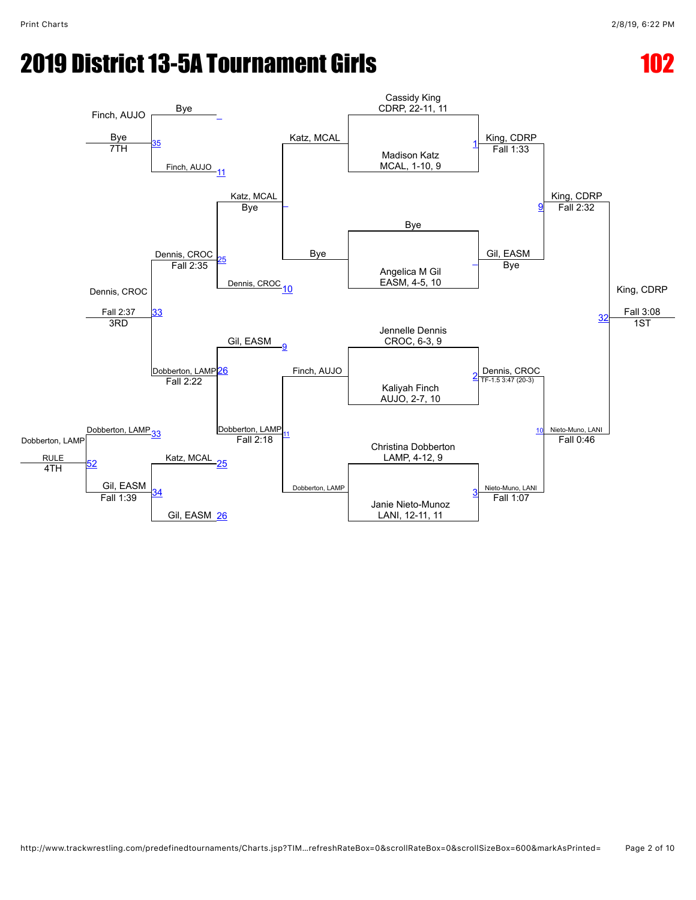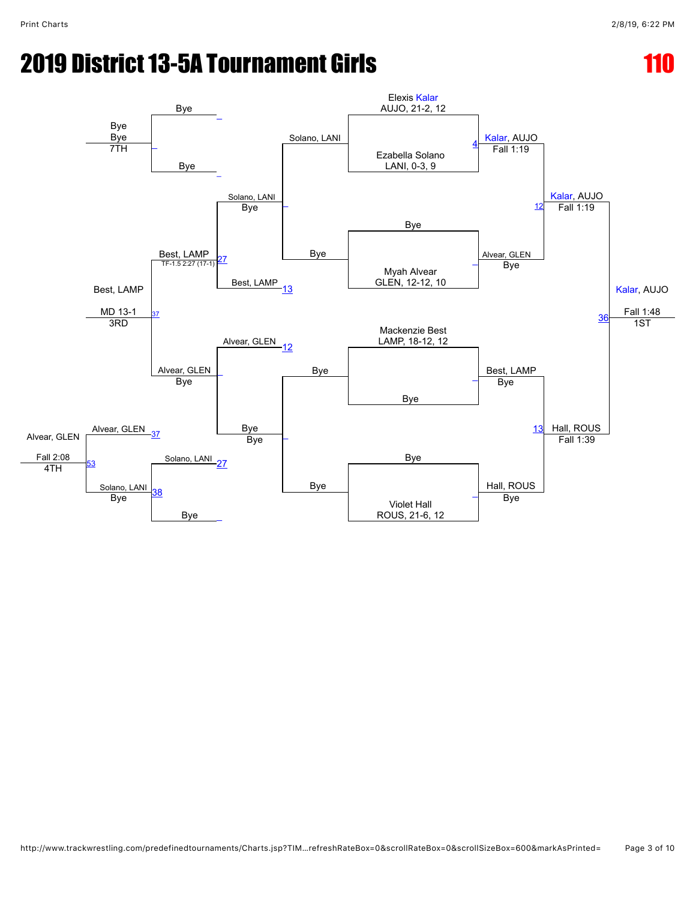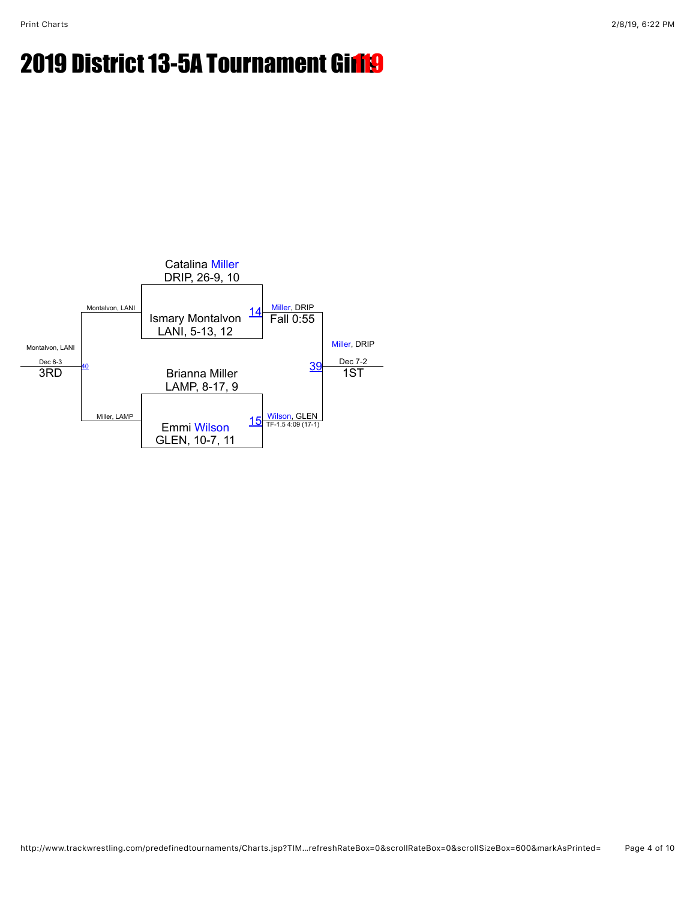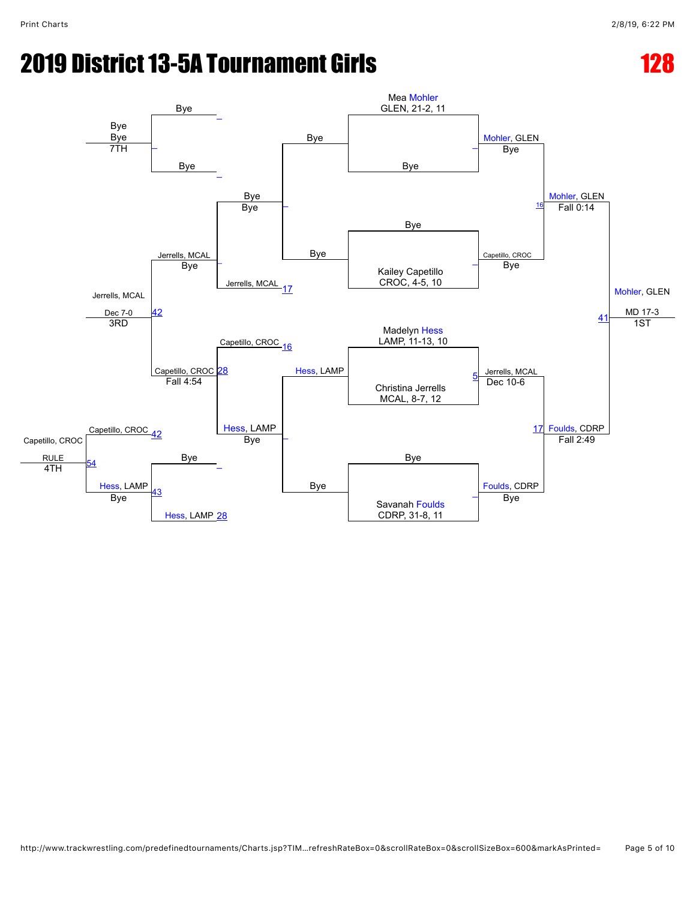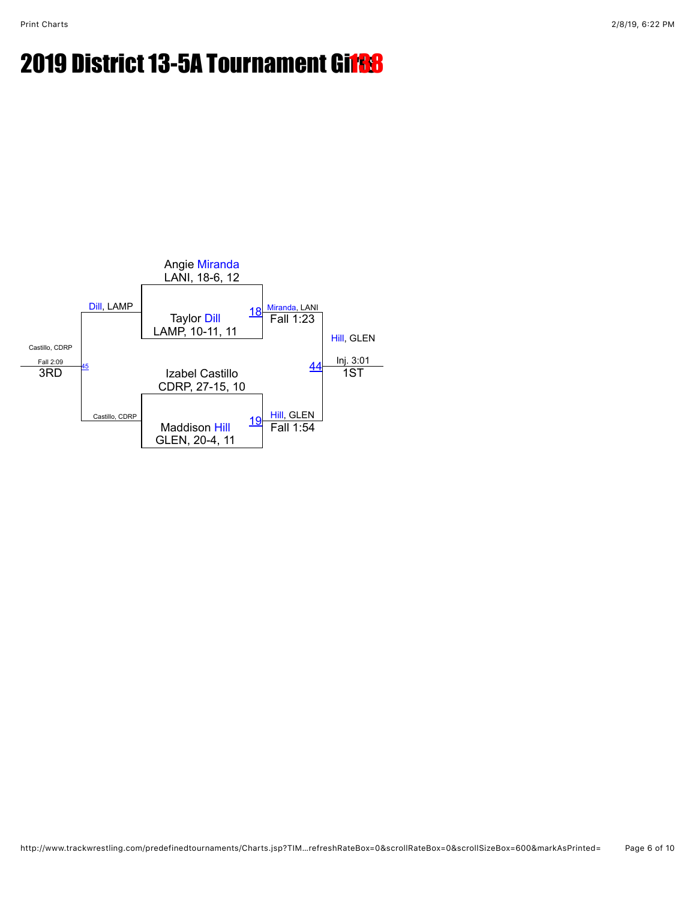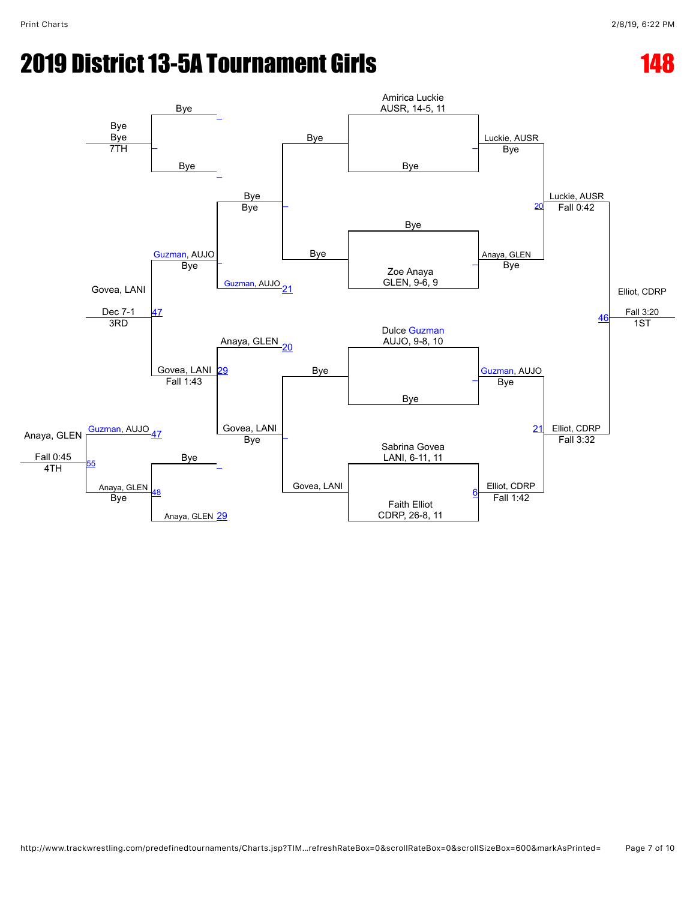## **2019 District 13-5A Tournament Girls 148 and 148 and 148 and 148 and 148 and 148 and 148 and 148 and 148 and 148 and 148 and 148 and 148 and 148 and 148 and 148 and 148 and 148 and 148 and 148 and 148 and 148 and 148 and**

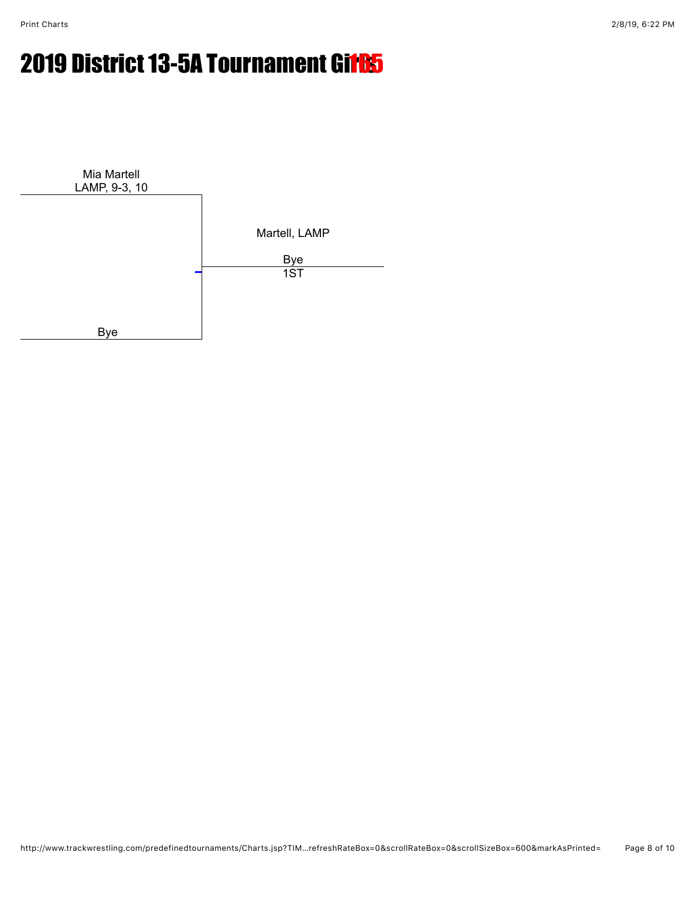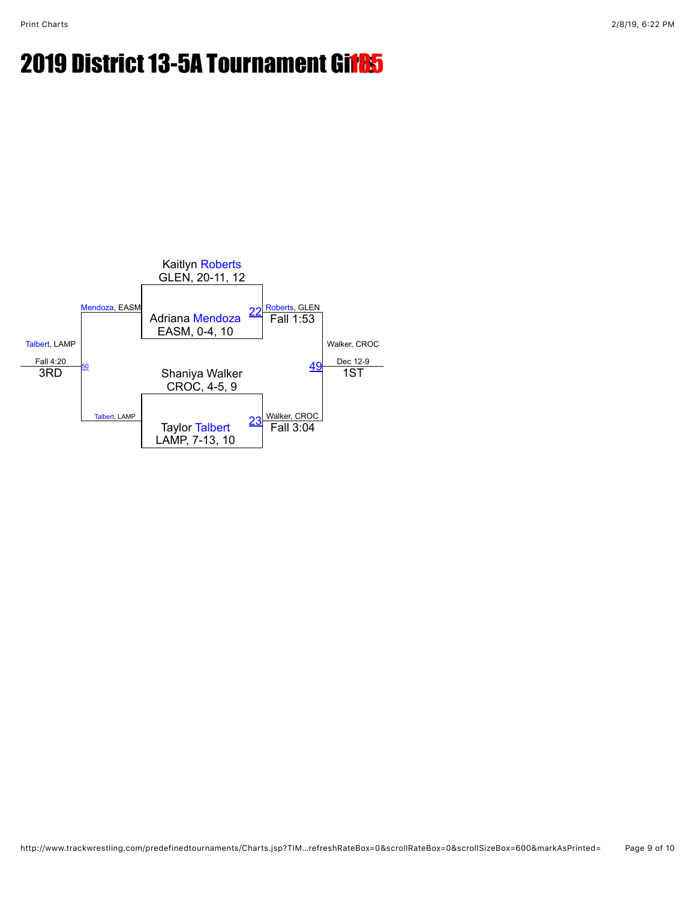